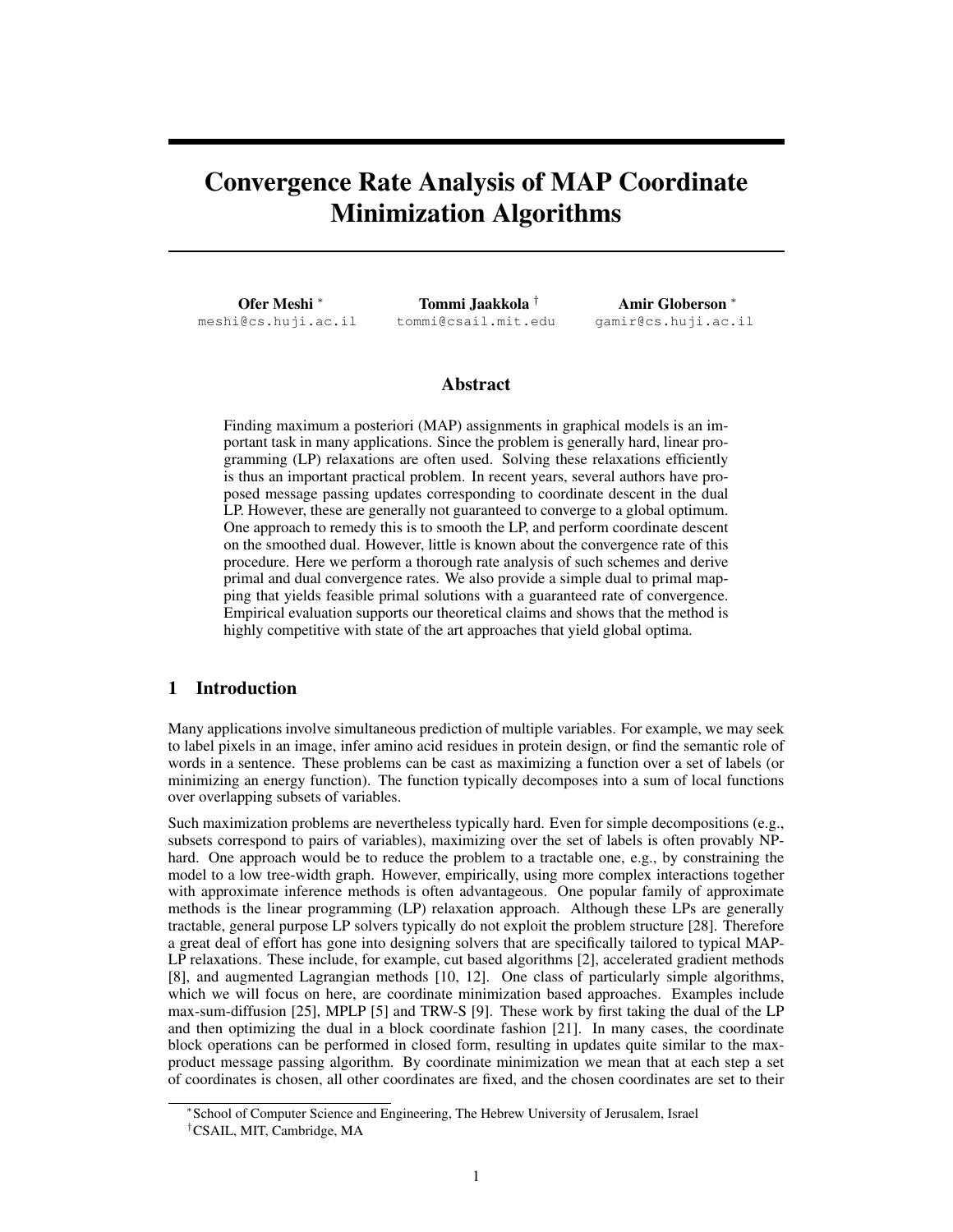# Convergence Rate Analysis of MAP Coordinate Minimization Algorithms

Ofer Meshi <sup>∗</sup> meshi@cs.huji.ac.il

Tommi Jaakkola † tommi@csail.mit.edu

Amir Globerson <sup>∗</sup> gamir@cs.huji.ac.il

## Abstract

Finding maximum a posteriori (MAP) assignments in graphical models is an important task in many applications. Since the problem is generally hard, linear programming (LP) relaxations are often used. Solving these relaxations efficiently is thus an important practical problem. In recent years, several authors have proposed message passing updates corresponding to coordinate descent in the dual LP. However, these are generally not guaranteed to converge to a global optimum. One approach to remedy this is to smooth the LP, and perform coordinate descent on the smoothed dual. However, little is known about the convergence rate of this procedure. Here we perform a thorough rate analysis of such schemes and derive primal and dual convergence rates. We also provide a simple dual to primal mapping that yields feasible primal solutions with a guaranteed rate of convergence. Empirical evaluation supports our theoretical claims and shows that the method is highly competitive with state of the art approaches that yield global optima.

# 1 Introduction

Many applications involve simultaneous prediction of multiple variables. For example, we may seek to label pixels in an image, infer amino acid residues in protein design, or find the semantic role of words in a sentence. These problems can be cast as maximizing a function over a set of labels (or minimizing an energy function). The function typically decomposes into a sum of local functions over overlapping subsets of variables.

Such maximization problems are nevertheless typically hard. Even for simple decompositions (e.g., subsets correspond to pairs of variables), maximizing over the set of labels is often provably NPhard. One approach would be to reduce the problem to a tractable one, e.g., by constraining the model to a low tree-width graph. However, empirically, using more complex interactions together with approximate inference methods is often advantageous. One popular family of approximate methods is the linear programming (LP) relaxation approach. Although these LPs are generally tractable, general purpose LP solvers typically do not exploit the problem structure [28]. Therefore a great deal of effort has gone into designing solvers that are specifically tailored to typical MAP-LP relaxations. These include, for example, cut based algorithms [2], accelerated gradient methods [8], and augmented Lagrangian methods [10, 12]. One class of particularly simple algorithms, which we will focus on here, are coordinate minimization based approaches. Examples include max-sum-diffusion [25], MPLP [5] and TRW-S [9]. These work by first taking the dual of the LP and then optimizing the dual in a block coordinate fashion [21]. In many cases, the coordinate block operations can be performed in closed form, resulting in updates quite similar to the maxproduct message passing algorithm. By coordinate minimization we mean that at each step a set of coordinates is chosen, all other coordinates are fixed, and the chosen coordinates are set to their

<sup>∗</sup> School of Computer Science and Engineering, The Hebrew University of Jerusalem, Israel †CSAIL, MIT, Cambridge, MA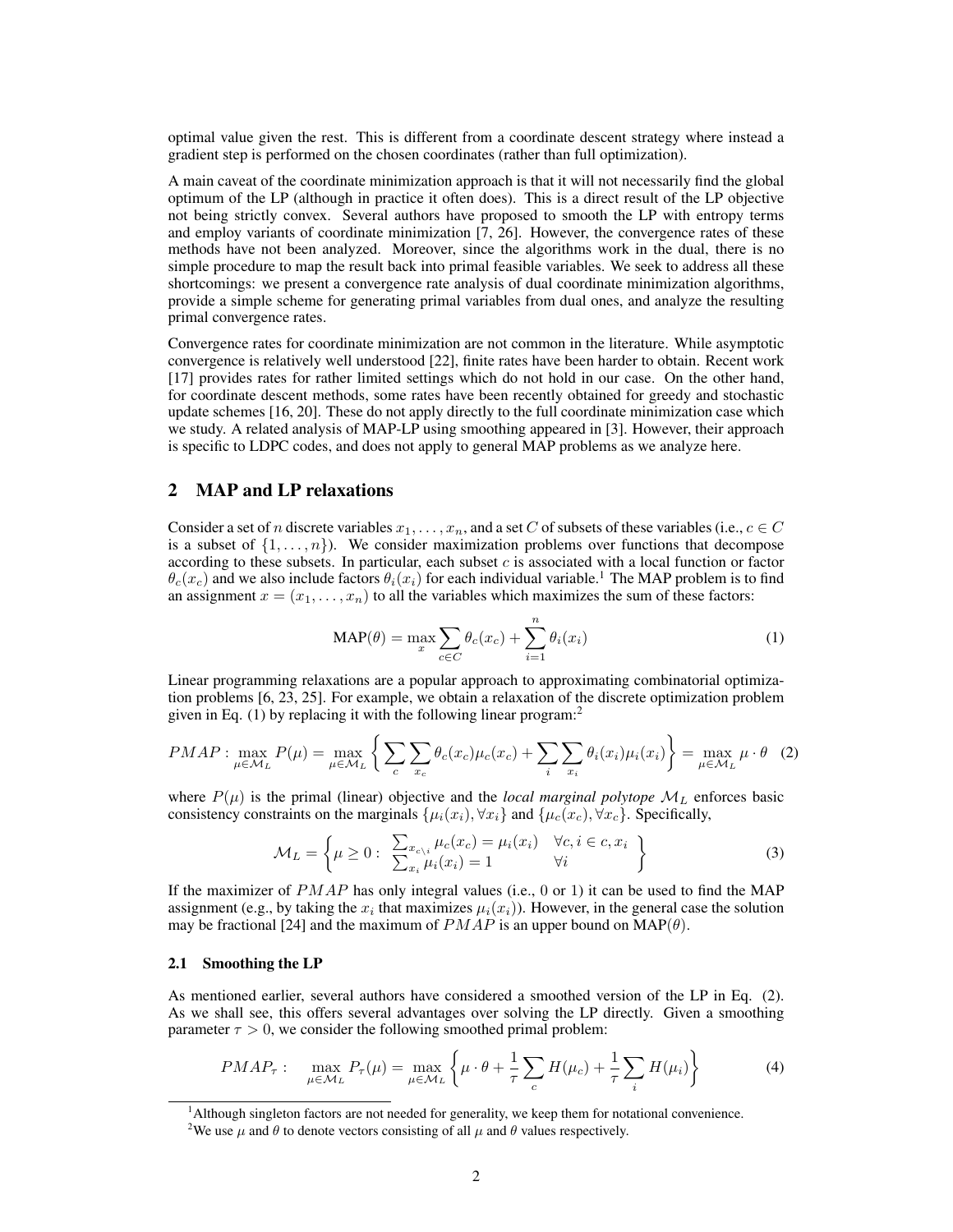optimal value given the rest. This is different from a coordinate descent strategy where instead a gradient step is performed on the chosen coordinates (rather than full optimization).

A main caveat of the coordinate minimization approach is that it will not necessarily find the global optimum of the LP (although in practice it often does). This is a direct result of the LP objective not being strictly convex. Several authors have proposed to smooth the LP with entropy terms and employ variants of coordinate minimization  $[7, 26]$ . However, the convergence rates of these methods have not been analyzed. Moreover, since the algorithms work in the dual, there is no simple procedure to map the result back into primal feasible variables. We seek to address all these shortcomings: we present a convergence rate analysis of dual coordinate minimization algorithms, provide a simple scheme for generating primal variables from dual ones, and analyze the resulting primal convergence rates.

Convergence rates for coordinate minimization are not common in the literature. While asymptotic convergence is relatively well understood [22], finite rates have been harder to obtain. Recent work [17] provides rates for rather limited settings which do not hold in our case. On the other hand, for coordinate descent methods, some rates have been recently obtained for greedy and stochastic update schemes [16, 20]. These do not apply directly to the full coordinate minimization case which we study. A related analysis of MAP-LP using smoothing appeared in [3]. However, their approach is specific to LDPC codes, and does not apply to general MAP problems as we analyze here.

## 2 MAP and LP relaxations

Consider a set of n discrete variables  $x_1, \ldots, x_n$ , and a set C of subsets of these variables (i.e.,  $c \in C$ is a subset of  $\{1, \ldots, n\}$ . We consider maximization problems over functions that decompose according to these subsets. In particular, each subset  $c$  is associated with a local function or factor  $\theta_c(x_c)$  and we also include factors  $\theta_i(x_i)$  for each individual variable.<sup>1</sup> The MAP problem is to find an assignment  $x = (x_1, \ldots, x_n)$  to all the variables which maximizes the sum of these factors:

$$
\text{MAP}(\theta) = \max_{x} \sum_{c \in C} \theta_c(x_c) + \sum_{i=1}^n \theta_i(x_i)
$$
 (1)

Linear programming relaxations are a popular approach to approximating combinatorial optimization problems [6, 23, 25]. For example, we obtain a relaxation of the discrete optimization problem given in Eq.  $(1)$  by replacing it with the following linear program:<sup>2</sup>

$$
PMAP: \max_{\mu \in \mathcal{M}_L} P(\mu) = \max_{\mu \in \mathcal{M}_L} \left\{ \sum_c \sum_{x_c} \theta_c(x_c) \mu_c(x_c) + \sum_i \sum_{x_i} \theta_i(x_i) \mu_i(x_i) \right\} = \max_{\mu \in \mathcal{M}_L} \mu \cdot \theta \quad (2)
$$

where  $P(\mu)$  is the primal (linear) objective and the *local marginal polytope*  $\mathcal{M}_L$  enforces basic consistency constraints on the marginals  $\{\mu_i(x_i), \forall x_i\}$  and  $\{\mu_c(x_c), \forall x_c\}$ . Specifically,

$$
\mathcal{M}_L = \left\{ \mu \ge 0 : \begin{array}{l} \sum_{x_c \backslash i} \mu_c(x_c) = \mu_i(x_i) & \forall c, i \in c, x_i \\ \sum_{x_i} \mu_i(x_i) = 1 & \forall i \end{array} \right\}
$$
(3)

If the maximizer of  $PMAP$  has only integral values (i.e., 0 or 1) it can be used to find the MAP assignment (e.g., by taking the  $x_i$  that maximizes  $\mu_i(x_i)$ ). However, in the general case the solution may be fractional [24] and the maximum of  $PMAP$  is an upper bound on  $MAP(\theta)$ .

#### 2.1 Smoothing the LP

As mentioned earlier, several authors have considered a smoothed version of the LP in Eq. (2). As we shall see, this offers several advantages over solving the LP directly. Given a smoothing parameter  $\tau > 0$ , we consider the following smoothed primal problem:

$$
PMAP_{\tau}: \quad \max_{\mu \in \mathcal{M}_L} P_{\tau}(\mu) = \max_{\mu \in \mathcal{M}_L} \left\{ \mu \cdot \theta + \frac{1}{\tau} \sum_{c} H(\mu_c) + \frac{1}{\tau} \sum_{i} H(\mu_i) \right\} \tag{4}
$$

<sup>&</sup>lt;sup>1</sup>Although singleton factors are not needed for generality, we keep them for notational convenience.

<sup>&</sup>lt;sup>2</sup>We use  $\mu$  and  $\theta$  to denote vectors consisting of all  $\mu$  and  $\theta$  values respectively.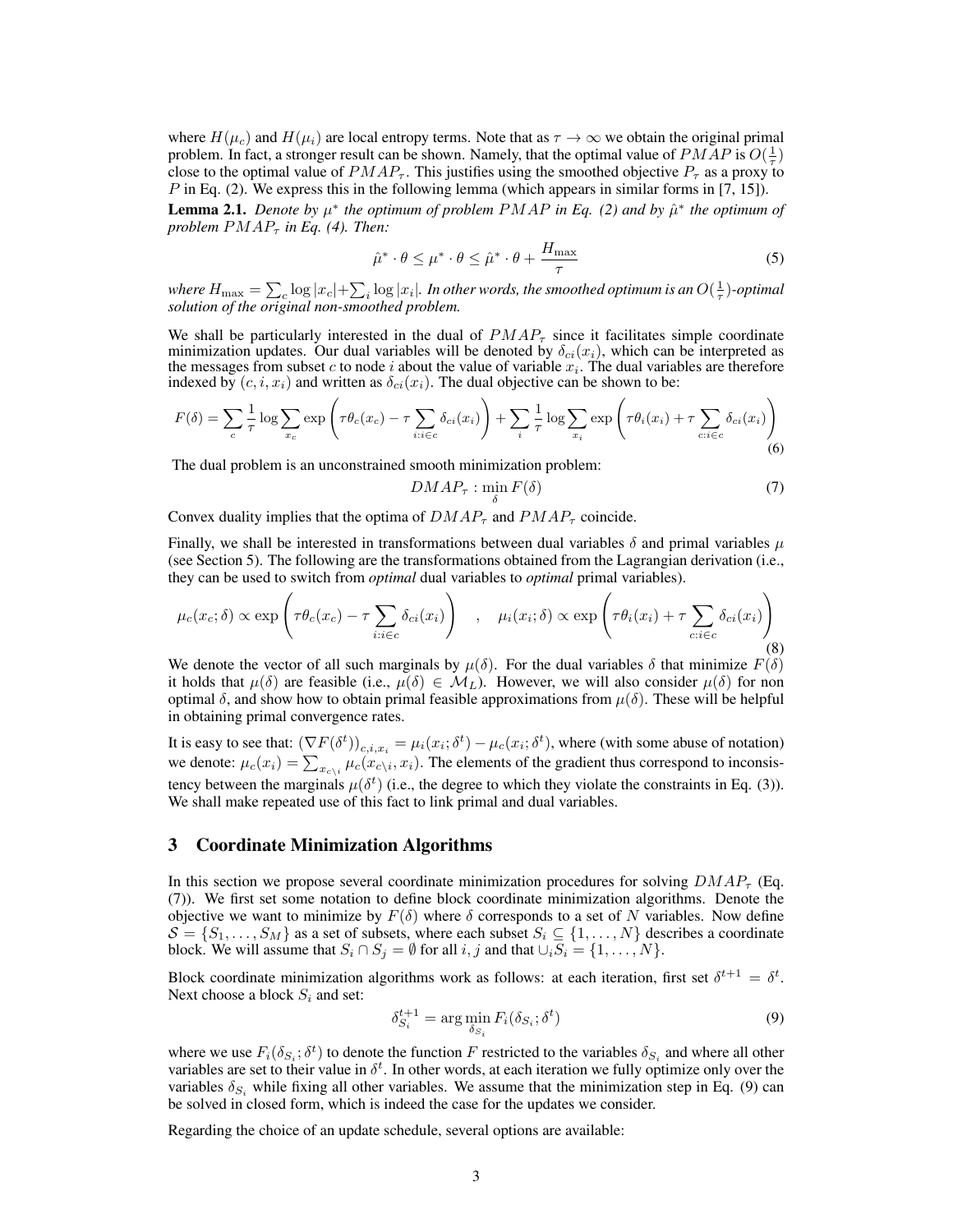where  $H(\mu_c)$  and  $H(\mu_i)$  are local entropy terms. Note that as  $\tau \to \infty$  we obtain the original primal problem. In fact, a stronger result can be shown. Namely, that the optimal value of  $PMAP$  is  $O(\frac{1}{\tau})$ problem. In fact, a subfiger result can be shown. Framely, that the optimal value of  $P_{T}$  as a proxy to close to the optimal value of  $PMAP_{\tau}$ . This justifies using the smoothed objective  $P_{\tau}$  as a proxy to P in Eq. (2). We express this in the following lemma (which appears in similar forms in [7, 15]).

**Lemma 2.1.** Denote by  $\mu^*$  the optimum of problem  $PMAP$  in Eq. (2) and by  $\hat{\mu}^*$  the optimum of *problem*  $PMAP_{\tau}$  *in Eq.* (4). Then:

$$
\hat{\mu}^* \cdot \theta \le \mu^* \cdot \theta \le \hat{\mu}^* \cdot \theta + \frac{H_{\text{max}}}{\tau} \tag{5}
$$

where  $H_{\text{max}} = \sum_{c} \log |x_c| + \sum_{i} \log |x_i|$ . In other words, the smoothed optimum is an  $O(\frac{1}{\tau})$ -optimal *solution of the original non-smoothed problem.*

We shall be particularly interested in the dual of  $PMAP_\tau$  since it facilitates simple coordinate minimization updates. Our dual variables will be denoted by  $\delta_{ci}(x_i)$ , which can be interpreted as the messages from subset c to node i about the value of variable  $x_i$ . The dual variables are therefore indexed by  $(c, i, x_i)$  and written as  $\delta_{ci}(x_i)$ . The dual objective can be shown to be:

$$
F(\delta) = \sum_{c} \frac{1}{\tau} \log \sum_{x_c} \exp \left( \tau \theta_c(x_c) - \tau \sum_{i:i \in c} \delta_{ci}(x_i) \right) + \sum_{i} \frac{1}{\tau} \log \sum_{x_i} \exp \left( \tau \theta_i(x_i) + \tau \sum_{c:i \in c} \delta_{ci}(x_i) \right)
$$
(6)

The dual problem is an unconstrained smooth minimization problem:

$$
DMAP_{\tau} : \min_{\delta} F(\delta) \tag{7}
$$

Convex duality implies that the optima of  $DMAP_\tau$  and  $PMAP_\tau$  coincide.

Finally, we shall be interested in transformations between dual variables  $\delta$  and primal variables  $\mu$ (see Section 5). The following are the transformations obtained from the Lagrangian derivation (i.e., they can be used to switch from *optimal* dual variables to *optimal* primal variables).

$$
\mu_c(x_c; \delta) \propto \exp\left(\tau \theta_c(x_c) - \tau \sum_{i:i \in c} \delta_{ci}(x_i)\right) , \quad \mu_i(x_i; \delta) \propto \exp\left(\tau \theta_i(x_i) + \tau \sum_{c:i \in c} \delta_{ci}(x_i)\right)
$$
(8)

We denote the vector of all such marginals by  $\mu(\delta)$ . For the dual variables  $\delta$  that minimize  $F(\delta)$ it holds that  $\mu(\delta)$  are feasible (i.e.,  $\mu(\delta) \in \mathcal{M}_L$ ). However, we will also consider  $\mu(\delta)$  for non optimal δ, and show how to obtain primal feasible approximations from  $\mu(\delta)$ . These will be helpful in obtaining primal convergence rates.

It is easy to see that:  $(\nabla F(\delta^t))_{c,i,x_i} = \mu_i(x_i;\delta^t) - \mu_c(x_i;\delta^t)$ , where (with some abuse of notation) we denote:  $\mu_c(x_i) = \sum_{x_{c\setminus i}} \mu_c(x_{c\setminus i}, x_i)$ . The elements of the gradient thus correspond to inconsistency between the marginals  $\mu(\delta^t)$  (i.e., the degree to which they violate the constraints in Eq. (3)). We shall make repeated use of this fact to link primal and dual variables.

## 3 Coordinate Minimization Algorithms

In this section we propose several coordinate minimization procedures for solving  $DMAP<sub>\tau</sub>$  (Eq. (7)). We first set some notation to define block coordinate minimization algorithms. Denote the objective we want to minimize by  $F(\delta)$  where  $\delta$  corresponds to a set of N variables. Now define  $\mathcal{S} = \{S_1, \ldots, S_M\}$  as a set of subsets, where each subset  $S_i \subseteq \{1, \ldots, N\}$  describes a coordinate block. We will assume that  $S_i \cap S_j = \emptyset$  for all  $i, j$  and that  $\cup_i S_i = \{1, \ldots, N\}.$ 

Block coordinate minimization algorithms work as follows: at each iteration, first set  $\delta^{t+1} = \delta^t$ . Next choose a block  $S_i$  and set:

$$
\delta_{S_i}^{t+1} = \arg\min_{\delta_{S_i}} F_i(\delta_{S_i}; \delta^t)
$$
\n(9)

where we use  $F_i(\delta_{S_i}; \delta^t)$  to denote the function F restricted to the variables  $\delta_{S_i}$  and where all other variables are set to their value in  $\delta^t$ . In other words, at each iteration we fully optimize only over the variables  $\delta_{S_i}$  while fixing all other variables. We assume that the minimization step in Eq. (9) can be solved in closed form, which is indeed the case for the updates we consider.

Regarding the choice of an update schedule, several options are available: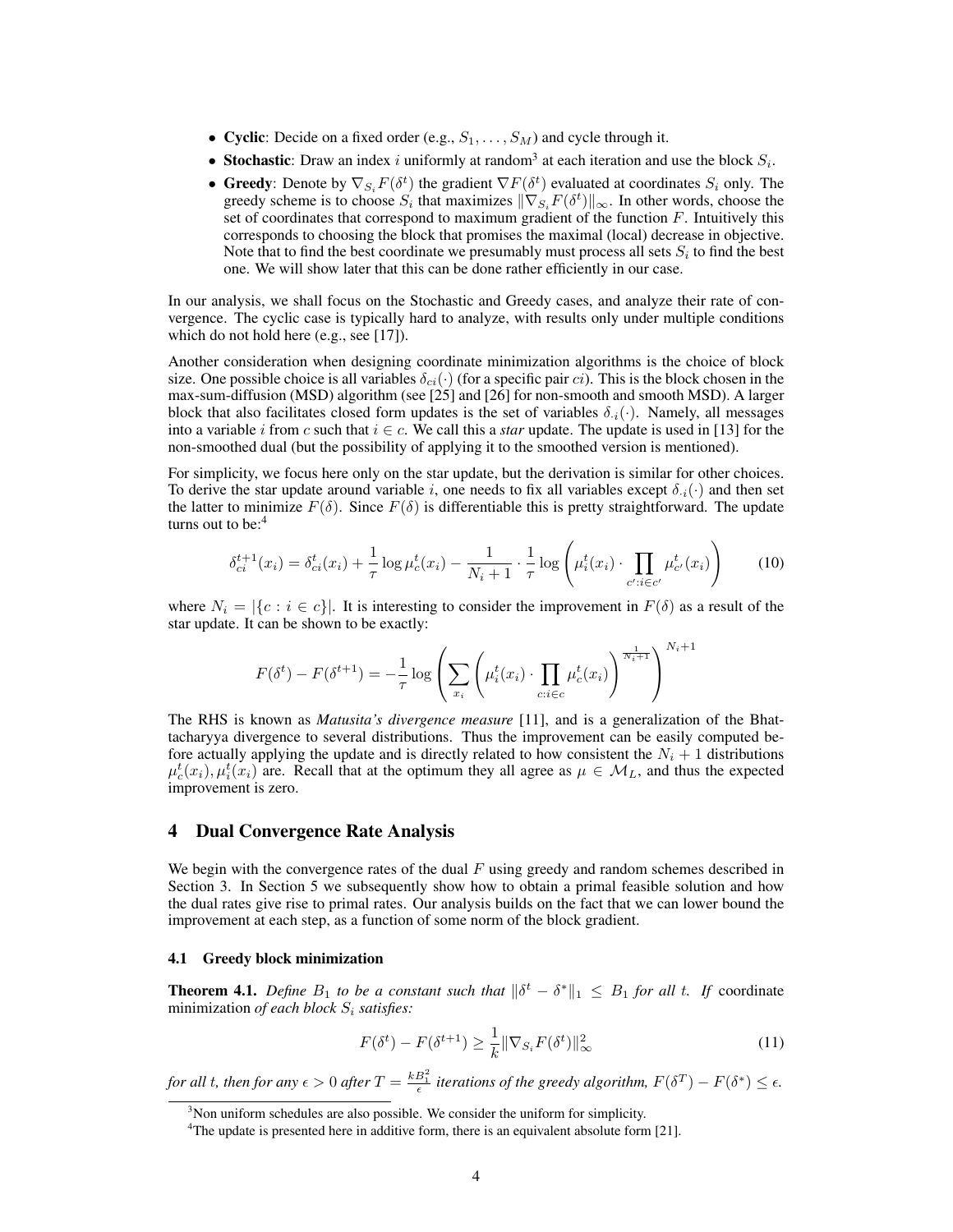- Cyclic: Decide on a fixed order (e.g.,  $S_1, \ldots, S_M$ ) and cycle through it.
- Stochastic: Draw an index i uniformly at random<sup>3</sup> at each iteration and use the block  $S_i$ .
- Greedy: Denote by  $\nabla_{S_i} F(\delta^t)$  the gradient  $\nabla F(\delta^t)$  evaluated at coordinates  $S_i$  only. The greedy scheme is to choose  $S_i$  that maximizes  $\|\nabla_{S_i}F(\delta^t)\|_{\infty}$ . In other words, choose the set of coordinates that correspond to maximum gradient of the function  $F$ . Intuitively this corresponds to choosing the block that promises the maximal (local) decrease in objective. Note that to find the best coordinate we presumably must process all sets  $S_i$  to find the best one. We will show later that this can be done rather efficiently in our case.

In our analysis, we shall focus on the Stochastic and Greedy cases, and analyze their rate of convergence. The cyclic case is typically hard to analyze, with results only under multiple conditions which do not hold here (e.g., see [17]).

Another consideration when designing coordinate minimization algorithms is the choice of block size. One possible choice is all variables  $\delta_{ci}(\cdot)$  (for a specific pair *ci*). This is the block chosen in the max-sum-diffusion (MSD) algorithm (see [25] and [26] for non-smooth and smooth MSD). A larger block that also facilitates closed form updates is the set of variables  $\delta_{i,j}(\cdot)$ . Namely, all messages into a variable i from c such that  $i \in c$ . We call this a *star* update. The update is used in [13] for the non-smoothed dual (but the possibility of applying it to the smoothed version is mentioned).

For simplicity, we focus here only on the star update, but the derivation is similar for other choices. To derive the star update around variable i, one needs to fix all variables except  $\delta_{i}(\cdot)$  and then set the latter to minimize  $F(\delta)$ . Since  $F(\delta)$  is differentiable this is pretty straightforward. The update turns out to be:<sup>4</sup>

$$
\delta_{ci}^{t+1}(x_i) = \delta_{ci}^t(x_i) + \frac{1}{\tau} \log \mu_c^t(x_i) - \frac{1}{N_i + 1} \cdot \frac{1}{\tau} \log \left( \mu_i^t(x_i) \cdot \prod_{c': i \in c'} \mu_{c'}^t(x_i) \right) \tag{10}
$$

where  $N_i = |\{c : i \in c\}|$ . It is interesting to consider the improvement in  $F(\delta)$  as a result of the star update. It can be shown to be exactly:

$$
F(\delta^t) - F(\delta^{t+1}) = -\frac{1}{\tau} \log \left( \sum_{x_i} \left( \mu_i^t(x_i) \cdot \prod_{c: i \in c} \mu_c^t(x_i) \right)^{\frac{1}{N_i+1}} \right)^{N_i+1}
$$

The RHS is known as *Matusita's divergence measure* [11], and is a generalization of the Bhattacharyya divergence to several distributions. Thus the improvement can be easily computed before actually applying the update and is directly related to how consistent the  $N_i + 1$  distributions  $\mu_c^t(x_i), \mu_i^t(x_i)$  are. Recall that at the optimum they all agree as  $\mu \in \mathcal{M}_L$ , and thus the expected improvement is zero.

## 4 Dual Convergence Rate Analysis

We begin with the convergence rates of the dual  $F$  using greedy and random schemes described in Section 3. In Section 5 we subsequently show how to obtain a primal feasible solution and how the dual rates give rise to primal rates. Our analysis builds on the fact that we can lower bound the improvement at each step, as a function of some norm of the block gradient.

#### 4.1 Greedy block minimization

**Theorem 4.1.** Define  $B_1$  to be a constant such that  $\|\delta^t - \delta^*\|_1 \leq B_1$  for all t. If coordinate minimization *of each block*  $S_i$  *satisfies:* 

$$
F(\delta^t) - F(\delta^{t+1}) \ge \frac{1}{k} \|\nabla_{S_i} F(\delta^t) \|_{\infty}^2 \tag{11}
$$

*for all t, then for any*  $\epsilon > 0$  *after*  $T = \frac{kB_1^2}{\epsilon}$  *iterations of the greedy algorithm,*  $F(\delta^T) - F(\delta^*) \leq \epsilon$ .

 $3$ Non uniform schedules are also possible. We consider the uniform for simplicity.

<sup>&</sup>lt;sup>4</sup>The update is presented here in additive form, there is an equivalent absolute form [21].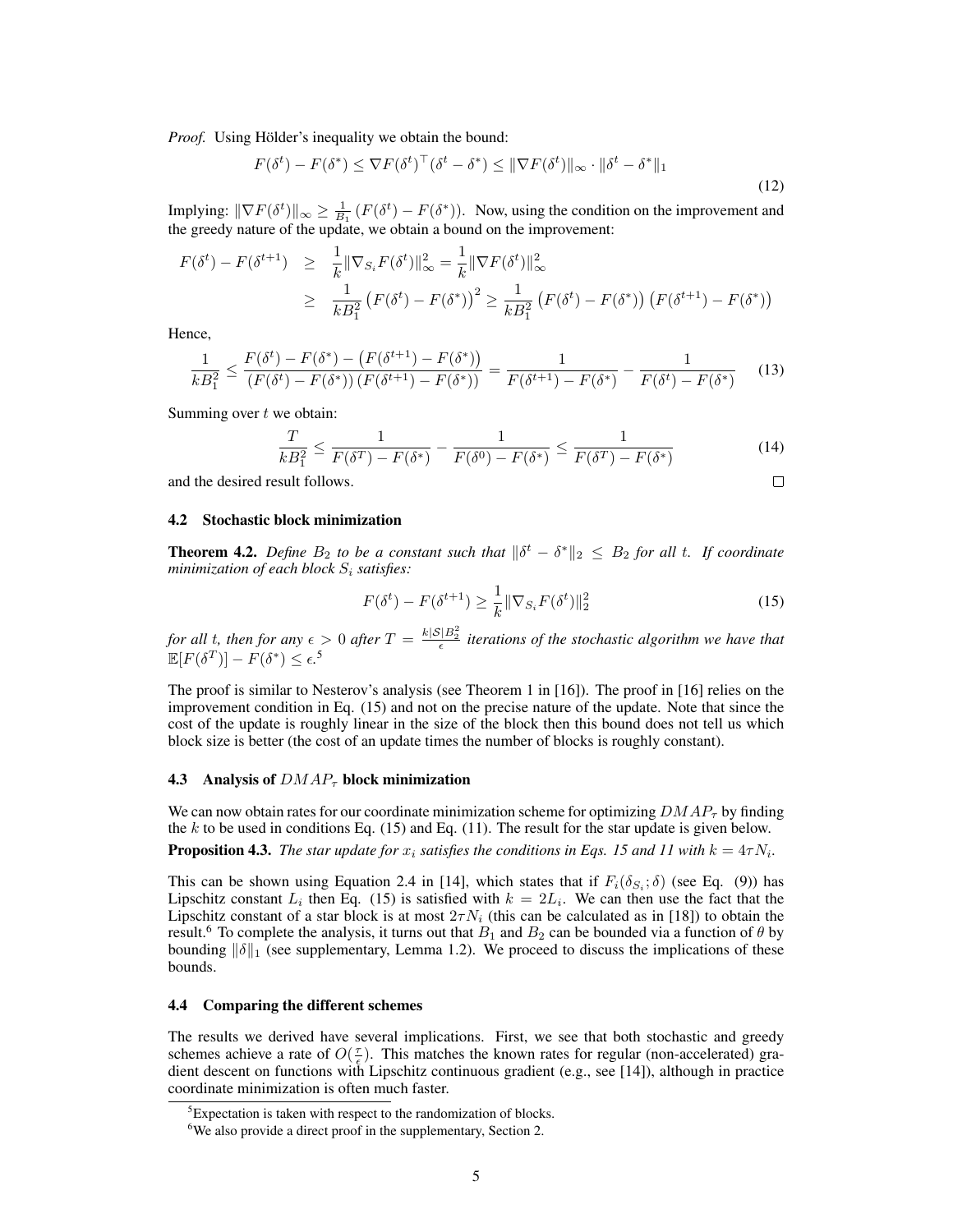*Proof.* Using Hölder's inequality we obtain the bound:

$$
F(\delta^t) - F(\delta^*) \le \nabla F(\delta^t)^\top (\delta^t - \delta^*) \le \|\nabla F(\delta^t)\|_\infty \cdot \|\delta^t - \delta^*\|_1
$$
\n(12)

Implying:  $\|\nabla F(\delta^t)\|_{\infty} \ge \frac{1}{B_1} (F(\delta^t) - F(\delta^*))$ . Now, using the condition on the improvement and the greedy nature of the update, we obtain a bound on the improvement:

$$
F(\delta^{t}) - F(\delta^{t+1}) \geq \frac{1}{k} \|\nabla_{S_i} F(\delta^{t})\|_{\infty}^2 = \frac{1}{k} \|\nabla F(\delta^{t})\|_{\infty}^2
$$
  

$$
\geq \frac{1}{k B_1^2} (F(\delta^{t}) - F(\delta^{*}))^2 \geq \frac{1}{k B_1^2} (F(\delta^{t}) - F(\delta^{*})) (F(\delta^{t+1}) - F(\delta^{*}))
$$

Hence,

$$
\frac{1}{kB_1^2} \le \frac{F(\delta^t) - F(\delta^*) - (F(\delta^{t+1}) - F(\delta^*))}{(F(\delta^t) - F(\delta^*)) (F(\delta^{t+1}) - F(\delta^*))} = \frac{1}{F(\delta^{t+1}) - F(\delta^*)} - \frac{1}{F(\delta^t) - F(\delta^*)} \tag{13}
$$

Summing over  $t$  we obtain:

$$
\frac{T}{kB_1^2} \le \frac{1}{F(\delta^T) - F(\delta^*)} - \frac{1}{F(\delta^0) - F(\delta^*)} \le \frac{1}{F(\delta^T) - F(\delta^*)}
$$
(14)

and the desired result follows.

#### 4.2 Stochastic block minimization

**Theorem 4.2.** Define  $B_2$  to be a constant such that  $\|\delta^t - \delta^*\|_2 \leq B_2$  for all t. If coordinate *minimization of each block*  $S_i$  *satisfies:* 

$$
F(\delta^t) - F(\delta^{t+1}) \ge \frac{1}{k} \|\nabla_{S_i} F(\delta^t) \|_2^2
$$
\n(15)

 $\Box$ 

for all t, then for any  $\epsilon > 0$  after  $T = \frac{k|S|B_2^2}{\epsilon}$  iterations of the stochastic algorithm we have that  $\mathbb{E}[F(\delta^T)] - F(\delta^*) \leq \epsilon^{5}$ 

The proof is similar to Nesterov's analysis (see Theorem 1 in [16]). The proof in [16] relies on the improvement condition in Eq. (15) and not on the precise nature of the update. Note that since the cost of the update is roughly linear in the size of the block then this bound does not tell us which block size is better (the cost of an update times the number of blocks is roughly constant).

#### 4.3 Analysis of  $DMAP<sub>\tau</sub>$  block minimization

We can now obtain rates for our coordinate minimization scheme for optimizing  $DMAP<sub>\tau</sub>$  by finding the k to be used in conditions Eq. (15) and Eq. (11). The result for the star update is given below. **Proposition 4.3.** *The star update for*  $x_i$  *satisfies the conditions in Eqs. 15 and 11 with*  $k = 4\tau N_i$ *.* 

This can be shown using Equation 2.4 in [14], which states that if  $F_i(\delta_{S_i}; \delta)$  (see Eq. (9)) has Lipschitz constant  $L_i$  then Eq. (15) is satisfied with  $k = 2L_i$ . We can then use the fact that the Lipschitz constant of a star block is at most  $2\tau N_i$  (this can be calculated as in [18]) to obtain the result.<sup>6</sup> To complete the analysis, it turns out that  $B_1$  and  $B_2$  can be bounded via a function of  $\theta$  by bounding  $\|\delta\|_1$  (see supplementary, Lemma 1.2). We proceed to discuss the implications of these bounds.

#### 4.4 Comparing the different schemes

The results we derived have several implications. First, we see that both stochastic and greedy schemes achieve a rate of  $O(\frac{\tau}{\epsilon})$ . This matches the known rates for regular (non-accelerated) gradient descent on functions with Lipschitz continuous gradient (e.g., see [14]), although in practice coordinate minimization is often much faster.

<sup>5</sup>Expectation is taken with respect to the randomization of blocks.

<sup>6</sup>We also provide a direct proof in the supplementary, Section 2.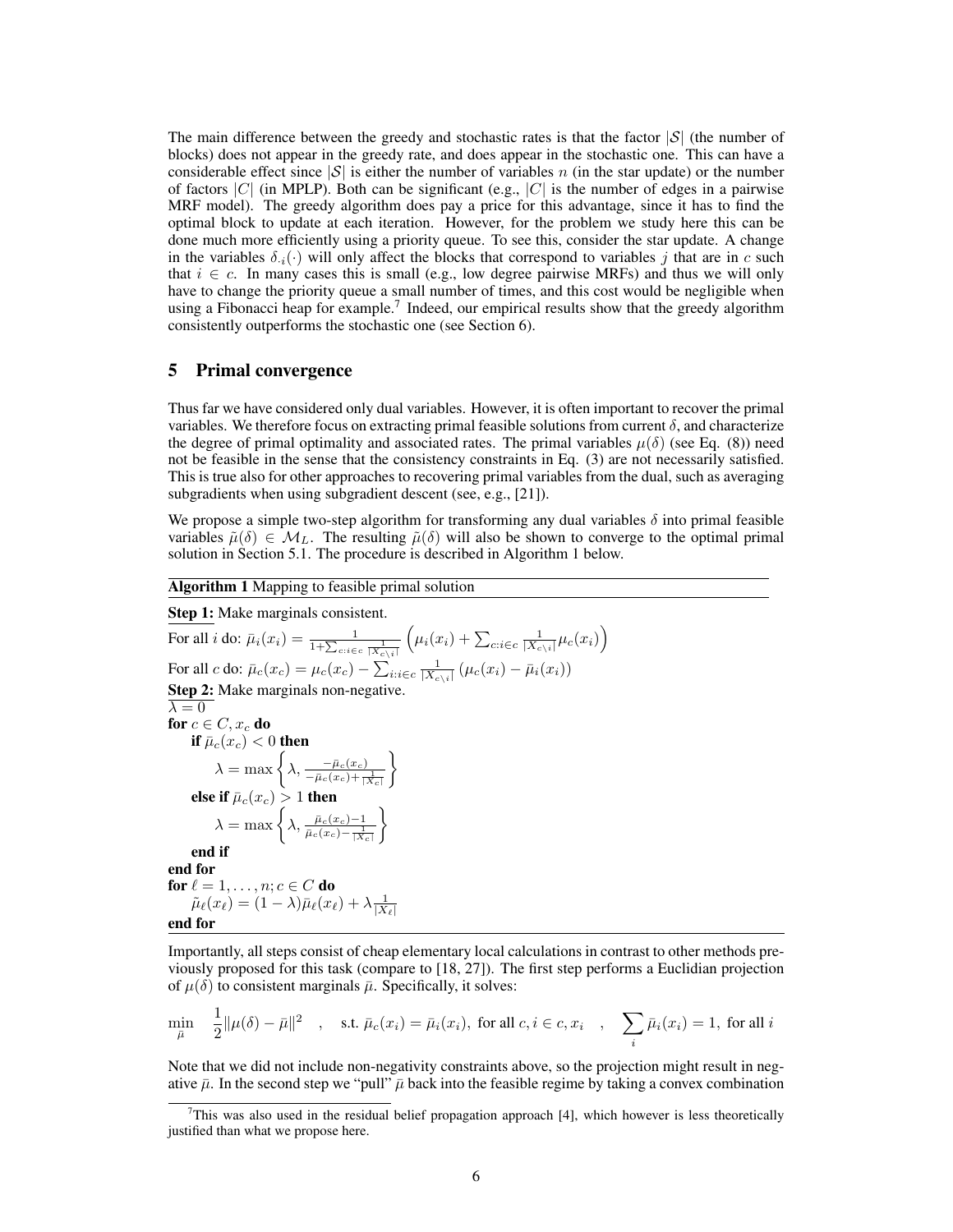The main difference between the greedy and stochastic rates is that the factor  $|\mathcal{S}|$  (the number of blocks) does not appear in the greedy rate, and does appear in the stochastic one. This can have a considerable effect since  $|\mathcal{S}|$  is either the number of variables n (in the star update) or the number of factors  $|C|$  (in MPLP). Both can be significant (e.g.,  $|C|$  is the number of edges in a pairwise MRF model). The greedy algorithm does pay a price for this advantage, since it has to find the optimal block to update at each iteration. However, for the problem we study here this can be done much more efficiently using a priority queue. To see this, consider the star update. A change in the variables  $\delta_i(\cdot)$  will only affect the blocks that correspond to variables j that are in c such that  $i \in c$ . In many cases this is small (e.g., low degree pairwise MRFs) and thus we will only have to change the priority queue a small number of times, and this cost would be negligible when using a Fibonacci heap for example.<sup>7</sup> Indeed, our empirical results show that the greedy algorithm consistently outperforms the stochastic one (see Section 6).

## 5 Primal convergence

 $\overline{a}$ 

Thus far we have considered only dual variables. However, it is often important to recover the primal variables. We therefore focus on extracting primal feasible solutions from current  $\delta$ , and characterize the degree of primal optimality and associated rates. The primal variables  $\mu(\delta)$  (see Eq. (8)) need not be feasible in the sense that the consistency constraints in Eq. (3) are not necessarily satisfied. This is true also for other approaches to recovering primal variables from the dual, such as averaging subgradients when using subgradient descent (see, e.g., [21]).

We propose a simple two-step algorithm for transforming any dual variables  $\delta$  into primal feasible variables  $\tilde{\mu}(\delta) \in \mathcal{M}_L$ . The resulting  $\tilde{\mu}(\delta)$  will also be shown to converge to the optimal primal solution in Section 5.1. The procedure is described in Algorithm 1 below.

#### Algorithm 1 Mapping to feasible primal solution

Step 1: Make marginals consistent. For all  $i$  do:  $\bar{\mu}_i(x_i) = \frac{1}{1+\sum_{c:i\in c}\frac{1}{|X_{c\backslash i}|}}$  $\left(\mu_i(x_i) + \sum_{c:i \in c} \frac{1}{|X_{c\setminus i}|} \mu_c(x_i)\right)$ For all c do:  $\bar{\mu}_c(x_c) = \mu_c(x_c) - \sum_{i:i \in c} \frac{1}{|X_{c\setminus i}|} (\mu_c(x_i) - \bar{\mu}_i(x_i))$ Step 2: Make marginals non-negative.  $\lambda = 0$ for  $c \in C, x_c$  do if  $\bar{\mu}_c(x_c) < 0$  then  $\lambda = \max \left\{ \lambda, \frac{-\bar{\mu}_c(x_c)}{-\bar{\mu}_c(x_c)+\frac{1}{|X_c|}} \right\}$  $\mathcal{L}$ else if  $\bar{\mu}_c(x_c) > 1$  then  $\lambda = \max \bigg\{ \lambda, \frac{\bar{\mu}_c(x_c) - 1}{\bar{\mu}_c(x_c) - \frac{1}{\mid X_c \mid}}$  $\mathcal{L}$ end if end for for  $\ell = 1, \ldots, n; c \in C$  do  $\tilde{\mu}_{\ell}(x_{\ell}) = (1 - \lambda)\bar{\mu}_{\ell}(x_{\ell}) + \lambda \frac{1}{|X_{\ell}|}$ end for

Importantly, all steps consist of cheap elementary local calculations in contrast to other methods previously proposed for this task (compare to [18, 27]). The first step performs a Euclidian projection of  $\mu(\delta)$  to consistent marginals  $\bar{\mu}$ . Specifically, it solves:

$$
\min_{\bar{\mu}} \quad \frac{1}{2} \|\mu(\delta) - \bar{\mu}\|^2 \quad , \quad \text{s.t. } \bar{\mu}_c(x_i) = \bar{\mu}_i(x_i), \text{ for all } c, i \in c, x_i \quad , \quad \sum_i \bar{\mu}_i(x_i) = 1, \text{ for all } i
$$

Note that we did not include non-negativity constraints above, so the projection might result in negative  $\bar{\mu}$ . In the second step we "pull"  $\bar{\mu}$  back into the feasible regime by taking a convex combination

This was also used in the residual belief propagation approach  $[4]$ , which however is less theoretically justified than what we propose here.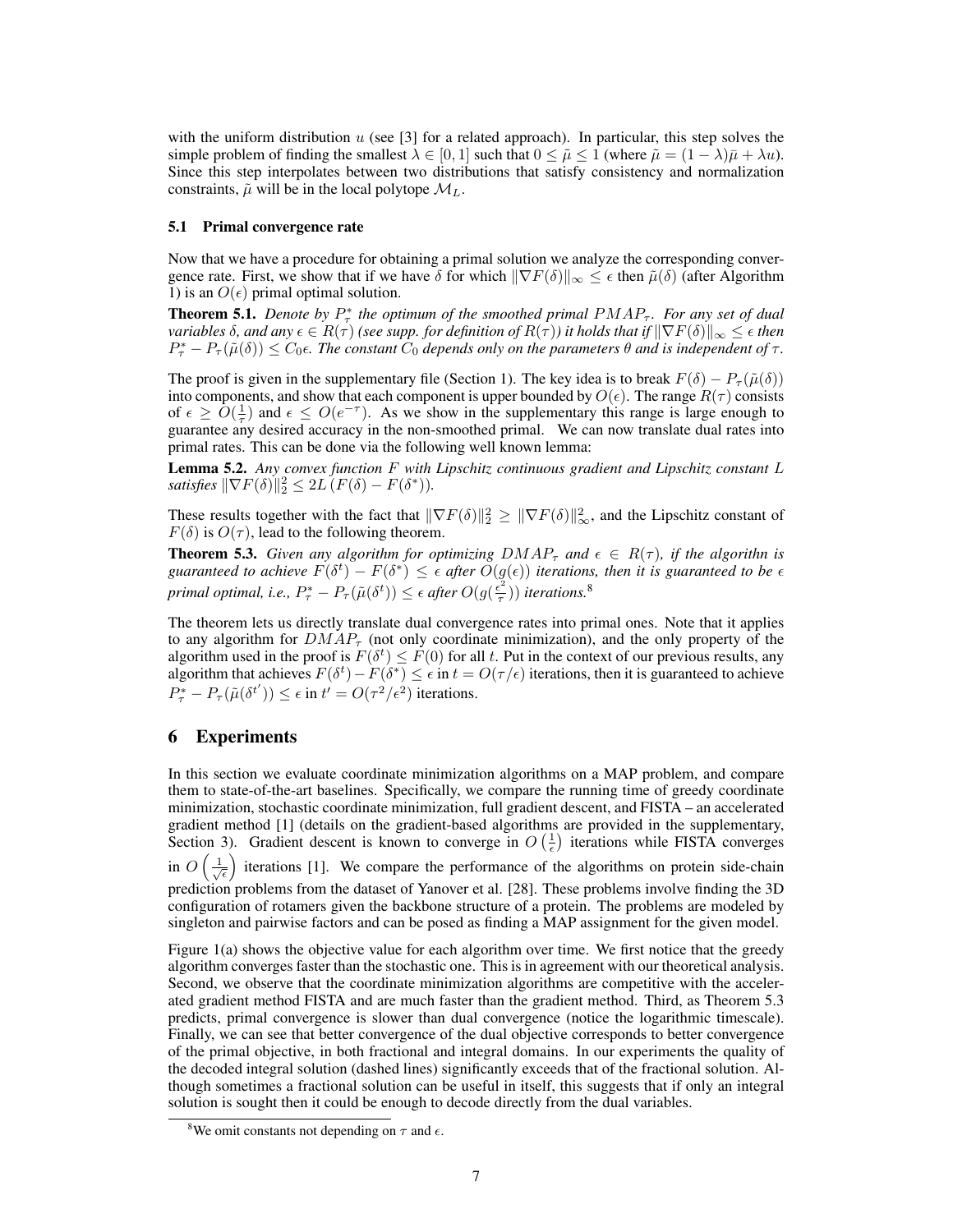with the uniform distribution  $u$  (see [3] for a related approach). In particular, this step solves the simple problem of finding the smallest  $\lambda \in [0,1]$  such that  $0 \le \tilde{\mu} \le 1$  (where  $\tilde{\mu} = (1 - \lambda)\bar{\mu} + \lambda u$ ). Since this step interpolates between two distributions that satisfy consistency and normalization constraints,  $\tilde{\mu}$  will be in the local polytope  $\mathcal{M}_L$ .

#### 5.1 Primal convergence rate

Now that we have a procedure for obtaining a primal solution we analyze the corresponding convergence rate. First, we show that if we have  $\delta$  for which  $\|\nabla F(\delta)\|_{\infty} \leq \epsilon$  then  $\tilde{\mu}(\delta)$  (after Algorithm 1) is an  $O(\epsilon)$  primal optimal solution.

**Theorem 5.1.** Denote by  $P^*_{\tau}$  the optimum of the smoothed primal  $PMAP_{\tau}$ . For any set of dual *variables*  $\delta$ *, and any*  $\epsilon \in R(\tau)$  *(see supp. for definition of*  $R(\tau)$ *) it holds that if*  $\|\nabla F(\delta)\|_{\infty} \leq \epsilon$  *then*  $P^*_{\tau} - P_{\tau}(\tilde{\mu}(\delta)) \leq C_0 \epsilon$ . The constant  $C_0$  depends only on the parameters  $\theta$  and is independent of  $\tau$ .

The proof is given in the supplementary file (Section 1). The key idea is to break  $F(\delta) - P_{\tau}(\tilde{\mu}(\delta))$ into components, and show that each component is upper bounded by  $O(\epsilon)$ . The range  $R(\tau)$  consists of  $\epsilon \ge O(\frac{1}{\tau})$  and  $\epsilon \le O(e^{-\tau})$ . As we show in the supplementary this range is large enough to guarantee any desired accuracy in the non-smoothed primal. We can now translate dual rates into primal rates. This can be done via the following well known lemma:

Lemma 5.2. *Any convex function* F *with Lipschitz continuous gradient and Lipschitz constant* L *satisfies*  $\|\nabla F(\delta)\|_2^2 \le 2L(F(\delta) - F(\delta^*)).$ 

These results together with the fact that  $\|\nabla F(\delta)\|_2^2 \geq \|\nabla F(\delta)\|_{\infty}^2$ , and the Lipschitz constant of  $F(\delta)$  is  $O(\tau)$ , lead to the following theorem.

**Theorem 5.3.** Given any algorithm for optimizing  $DMAP_\tau$  and  $\epsilon \in R(\tau)$ , if the algorithn is guaranteed to achieve  $F(\delta^t) - F(\delta^*) \leq \epsilon$  after  $O(g(\epsilon))$  iterations, then it is guaranteed to be  $\epsilon$ *primal optimal, i.e.,*  $P^*_{\tau} - P_{\tau}(\tilde{\mu}(\delta^t)) \leq \epsilon$  after  $O(g(\frac{\epsilon^2}{\tau}))$  $(\frac{\epsilon^2}{\tau})$ ) *iterations.*<sup>8</sup>

The theorem lets us directly translate dual convergence rates into primal ones. Note that it applies to any algorithm for  $DMAP_\tau$  (not only coordinate minimization), and the only property of the algorithm used in the proof is  $F(\delta^t) \leq F(0)$  for all t. Put in the context of our previous results, any algorithm that achieves  $F(\delta^t) - F(\delta^*) \leq \epsilon$  in  $t = O(\tau/\epsilon)$  iterations, then it is guaranteed to achieve  $P^*_{\tau} - P_{\tau}(\tilde{\mu}(\delta^{t'})) \leq \epsilon$  in  $t' = O(\tau^2/\epsilon^2)$  iterations.

### 6 Experiments

In this section we evaluate coordinate minimization algorithms on a MAP problem, and compare them to state-of-the-art baselines. Specifically, we compare the running time of greedy coordinate minimization, stochastic coordinate minimization, full gradient descent, and FISTA – an accelerated gradient method [1] (details on the gradient-based algorithms are provided in the supplementary, Section 3). Gradient descent is known to converge in  $O\left(\frac{1}{\epsilon}\right)$  iterations while FISTA converges in  $O\left(\frac{1}{\sqrt{\epsilon}}\right)$  iterations [1]. We compare the performance of the algorithms on protein side-chain prediction problems from the dataset of Yanover et al. [28]. These problems involve finding the 3D configuration of rotamers given the backbone structure of a protein. The problems are modeled by singleton and pairwise factors and can be posed as finding a MAP assignment for the given model.

Figure 1(a) shows the objective value for each algorithm over time. We first notice that the greedy algorithm converges faster than the stochastic one. This is in agreement with our theoretical analysis. Second, we observe that the coordinate minimization algorithms are competitive with the accelerated gradient method FISTA and are much faster than the gradient method. Third, as Theorem 5.3 predicts, primal convergence is slower than dual convergence (notice the logarithmic timescale). Finally, we can see that better convergence of the dual objective corresponds to better convergence of the primal objective, in both fractional and integral domains. In our experiments the quality of the decoded integral solution (dashed lines) significantly exceeds that of the fractional solution. Although sometimes a fractional solution can be useful in itself, this suggests that if only an integral solution is sought then it could be enough to decode directly from the dual variables.

<sup>&</sup>lt;sup>8</sup>We omit constants not depending on  $\tau$  and  $\epsilon$ .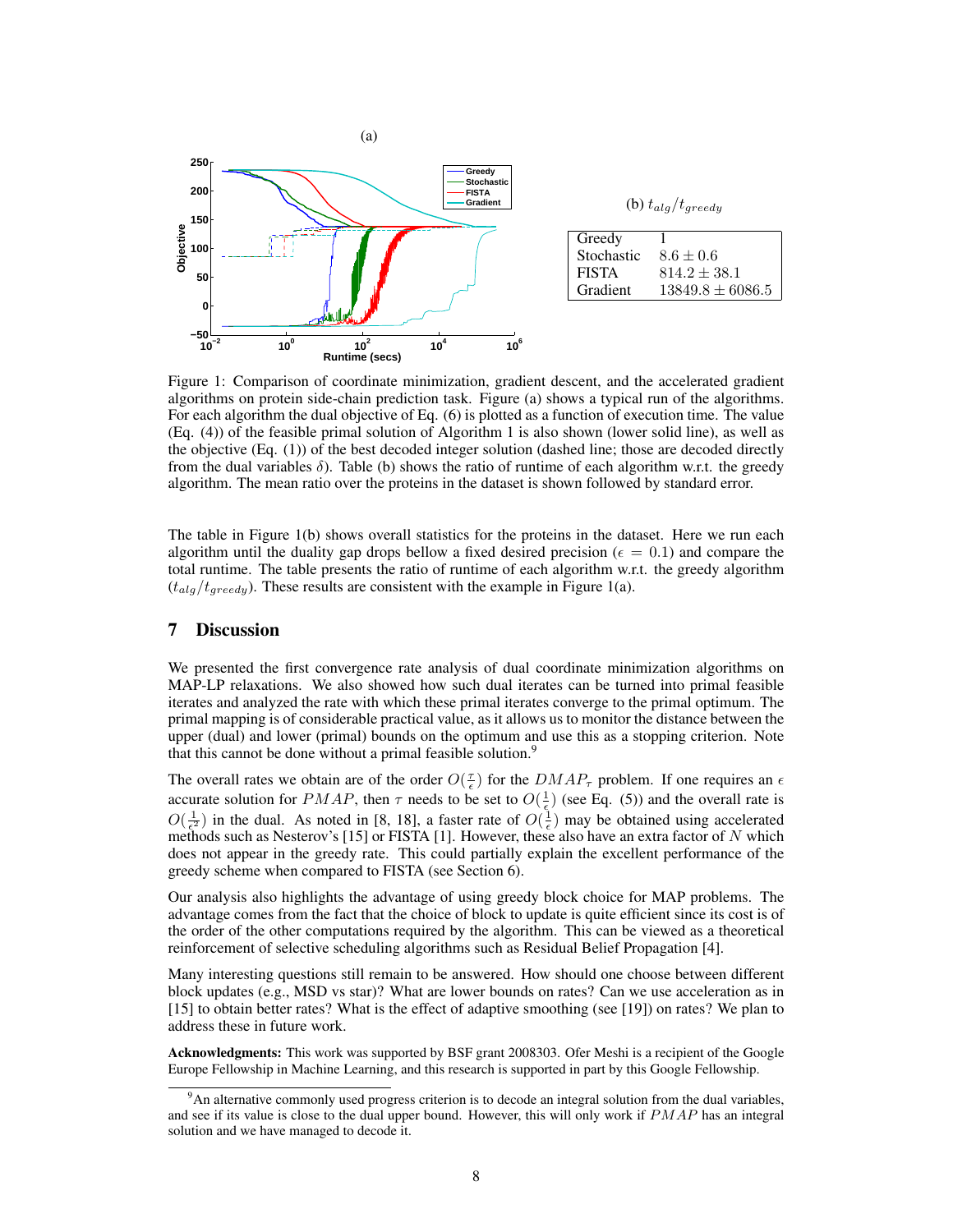

Figure 1: Comparison of coordinate minimization, gradient descent, and the accelerated gradient algorithms on protein side-chain prediction task. Figure (a) shows a typical run of the algorithms. For each algorithm the dual objective of Eq. (6) is plotted as a function of execution time. The value (Eq. (4)) of the feasible primal solution of Algorithm 1 is also shown (lower solid line), as well as the objective (Eq. (1)) of the best decoded integer solution (dashed line; those are decoded directly from the dual variables  $\delta$ ). Table (b) shows the ratio of runtime of each algorithm w.r.t. the greedy algorithm. The mean ratio over the proteins in the dataset is shown followed by standard error.

The table in Figure 1(b) shows overall statistics for the proteins in the dataset. Here we run each algorithm until the duality gap drops bellow a fixed desired precision ( $\epsilon = 0.1$ ) and compare the total runtime. The table presents the ratio of runtime of each algorithm w.r.t. the greedy algorithm  $(t_{alg}/t_{greedy})$ . These results are consistent with the example in Figure 1(a).

## 7 Discussion

We presented the first convergence rate analysis of dual coordinate minimization algorithms on MAP-LP relaxations. We also showed how such dual iterates can be turned into primal feasible iterates and analyzed the rate with which these primal iterates converge to the primal optimum. The primal mapping is of considerable practical value, as it allows us to monitor the distance between the upper (dual) and lower (primal) bounds on the optimum and use this as a stopping criterion. Note that this cannot be done without a primal feasible solution.<sup>9</sup>

The overall rates we obtain are of the order  $O(\frac{\tau}{\epsilon})$  for the  $DMAP_{\tau}$  problem. If one requires an  $\epsilon$ accurate solution for PMAP, then  $\tau$  needs to be set to  $O(\frac{1}{\epsilon})$  (see Eq. (5)) and the overall rate is  $O(\frac{1}{\epsilon^2})$  in the dual. As noted in [8, 18], a faster rate of  $O(\frac{1}{\epsilon})$  may be obtained using accelerated methods such as Nesterov's [15] or FISTA [1]. However, these also have an extra factor of N which does not appear in the greedy rate. This could partially explain the excellent performance of the greedy scheme when compared to FISTA (see Section 6).

Our analysis also highlights the advantage of using greedy block choice for MAP problems. The advantage comes from the fact that the choice of block to update is quite efficient since its cost is of the order of the other computations required by the algorithm. This can be viewed as a theoretical reinforcement of selective scheduling algorithms such as Residual Belief Propagation [4].

Many interesting questions still remain to be answered. How should one choose between different block updates (e.g., MSD vs star)? What are lower bounds on rates? Can we use acceleration as in [15] to obtain better rates? What is the effect of adaptive smoothing (see [19]) on rates? We plan to address these in future work.

Acknowledgments: This work was supported by BSF grant 2008303. Ofer Meshi is a recipient of the Google Europe Fellowship in Machine Learning, and this research is supported in part by this Google Fellowship.

<sup>&</sup>lt;sup>9</sup>An alternative commonly used progress criterion is to decode an integral solution from the dual variables, and see if its value is close to the dual upper bound. However, this will only work if PMAP has an integral solution and we have managed to decode it.